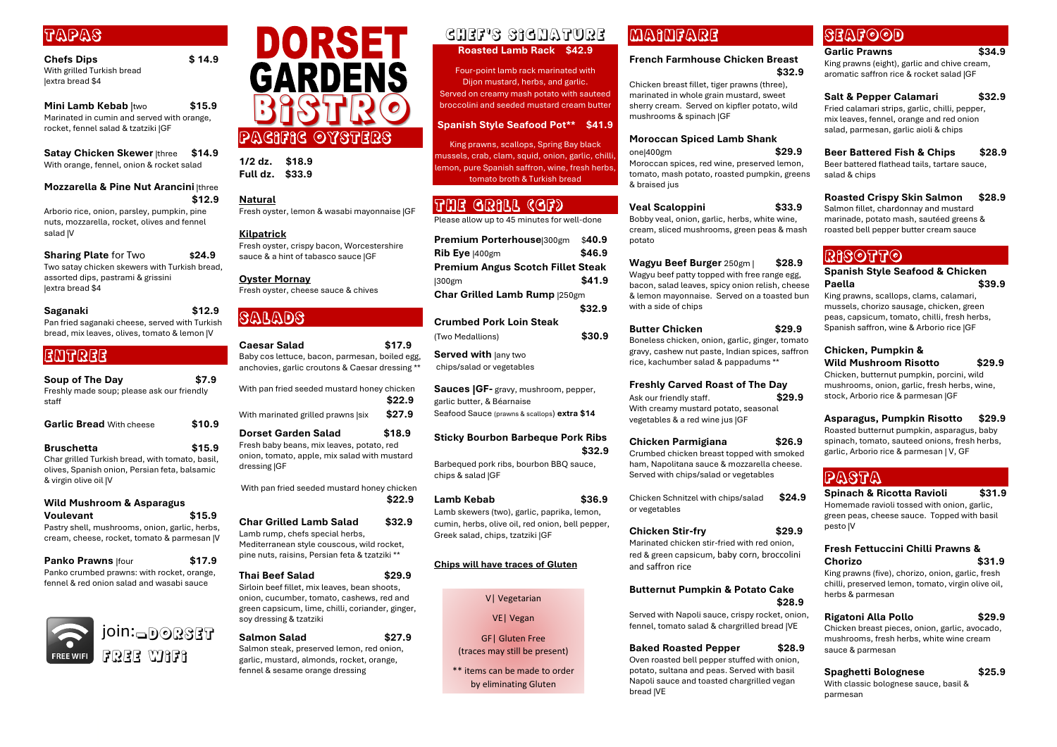### Tapas

**Chefs Dips \$ 14.9** With grilled Turkish bread |extra bread \$4

**Mini Lamb Kebab** |two **\$15.9** Marinated in cumin and served with orange, rocket, fennel salad & tzatziki |GF

**Satay Chicken Skewer** |three **\$14.9** With orange, fennel, onion & rocket salad

### **Mozzarella & Pine Nut Arancini** |three **\$12.9**

Arborio rice, onion, parsley, pumpkin, pine nuts, mozzarella, rocket, olives and fennel salad |V

#### **Sharing Plate** for Two **\$24.9**

Two satay chicken skewers with Turkish bread, assorted dips, pastrami & grissini |extra bread \$4

#### **Saganaki \$12.9**

Pan fried saganaki cheese, served with Turkish bread, mix leaves, olives, tomato & lemon |V

### ENTREE

### **Soup of The Day \$7.9**

Freshly made soup; please ask our friendly staff

| <b>Garlic Bread With cheese</b> | \$10.9 |
|---------------------------------|--------|
| <b>Bruschetta</b>               | \$15.9 |

Char grilled Turkish bread, with tomato, basil, olives, Spanish onion, Persian feta, balsamic & virgin olive oil |V

#### **Wild Mushroom & Asparagus Voulevant \$15.9**

Pastry shell, mushrooms, onion, garlic, herbs, cream, cheese, rocket, tomato & parmesan |V

### **Panko Prawns** |four **\$17.9**

Panko crumbed prawns: with rocket, orange, fennel & red onion salad and wasabi sauce

**1/2 dz. \$18.9 Full dz. \$33.9** 

**Natural** 

Fresh oyster, lemon & wasabi mayonnaise |GF

### **Kilpatrick**

Fresh oyster, crispy bacon, Worcestershire sauce & a hint of tabasco sauce |GF

**Oyster Mornay** Fresh oyster, cheese sauce & chives

### SALADS

**Served with lany two** chips/salad or vegetables

| <b>Caesar Salad</b><br>Baby cos lettuce, bacon, parmesan, boiled egg,<br>anchovies, garlic croutons & Caesar dressing **         | \$17.9 |
|----------------------------------------------------------------------------------------------------------------------------------|--------|
| With pan fried seeded mustard honey chicken                                                                                      | \$22.9 |
| With marinated grilled prawns   six                                                                                              | \$27.9 |
| Dorset Garden Salad<br>Fresh baby beans, mix leaves, potato, red<br>onion, tomato, apple, mix salad with mustard<br>dressing  GF | \$18.9 |
| With pan fried seeded mustard honey chicken                                                                                      | \$22.9 |
| <b>Char Grilled Lamb Salad</b>                                                                                                   | \$32.9 |

Lamb rump, chefs special herbs, Mediterranean style couscous, wild rocket, pine nuts, raisins, Persian feta & tzatziki \*\*

#### **Thai Beef Salad \$29.9**

Sirloin beef fillet, mix leaves, bean shoots, onion, cucumber, tomato, cashews, red and green capsicum, lime, chilli, coriander, ginger, soy dressing & tzatziki

**Salmon Salad \$27.9** Salmon steak, preserved lemon, red onion,

garlic, mustard, almonds, rocket, orange, fennel & sesame orange dressing

### CHEF'S SIGNATURE

**Roasted Lamb Rack \$42.9**

Four-point lamb rack marinated with Dijon mustard, herbs, and garlic. Served on creamy mash potato with sauteed broccolini and seeded mustard cream butter

> Served with Napoli sauce, crispy rocket, onior fennel, tomato salad & chargrilled bread |VE

### **Spanish Style Seafood Pot\*\* \$41.9**

King prawns, scallops, Spring Bay black mussels, crab, clam, squid, onion, garlic, chilli, lemon, pure Spanish saffron, wine, fresh herbs, tomato broth & Turkish bread

### GRILL (GF)

Please allow up to 45 minutes for well-done

| Premium Porterhouse 300gm                | \$40.9 |
|------------------------------------------|--------|
| Rib Eye $ 400gm$                         | \$46.9 |
| <b>Premium Angus Scotch Fillet Steak</b> |        |
| $ 300$ gm                                | \$41.9 |
| <b>Char Grilled Lamb Rump  250gm</b>     |        |
|                                          | \$32.9 |

**Crumbed Pork Loin Steak**  (Two Medallions) **\$30.9**

**Sauces |GF-** gravy, mushroom, pepper, garlic butter, & Béarnaise Seafood Sauce (prawns & scallops) **extra \$14**

### **Sticky Bourbon Barbeque Pork Ribs \$32.9**

Barbequed pork ribs, bourbon BBQ sauce, chips & salad |GF

### **Lamb Kebab \$36.9**

Lamb skewers (two), garlic, paprika, lemon, cumin, herbs, olive oil, red onion, bell pepper, Greek salad, chips, tzatziki |GF

### **Chips will have traces of Gluten**

### MAINFARE

### **French Farmhouse Chicken Breast \$32.9**

Chicken breast fillet, tiger prawns (three), marinated in whole grain mustard, sweet sherry cream. Served on kipfler potato, wild mushrooms & spinach |GF

#### **Moroccan Spiced Lamb Shank** one|400gm **\$29.9**

Moroccan spices, red wine, preserved lemon, tomato, mash potato, roasted pumpkin, green & braised jus

### **Veal Scaloppini \$33.9**

Bobby veal, onion, garlic, herbs, white wine, cream, sliced mushrooms, green peas & mash potato



**Wagyu Beef Burger** 250gm | **\$28.9** Wagyu beef patty topped with free range egg, bacon, salad leaves, spicy onion relish, chees & lemon mayonnaise. Served on a toasted bu with a side of chips

### **Butter Chicken \$29.9**

Boneless chicken, onion, garlic, ginger, tomato gravy, cashew nut paste, Indian spices, saffron rice, kachumber salad & pappadums \*\*

### **Freshly Carved Roast of The Day**

Ask our friendly staff. **\$29.9** With creamy mustard potato, seasonal vegetables & a red wine jus |GF

### **Chicken Parmigiana \$26.9**

Crumbed chicken breast topped with smoked ham, Napolitana sauce & mozzarella cheese. Served with chips/salad or vegetables

Chicken Schnitzel with chips/salad **\$24.9** or vegetables

**Chicken Stir-fry \$29.9** 

Marinated chicken stir-fried with red onion, red & green capsicum, baby corn, broccolini and saffron rice

### **Butternut Pumpkin & Potato Cake \$28.9**

### **Baked Roasted Pepper \$28.9**

Oven roasted bell pepper stuffed with onion, potato, sultana and peas. Served with basil Napoli sauce and toasted chargrilled vegan bread |VE

SEAFOOD

| <b>23MA QAD</b>                                    |        |
|----------------------------------------------------|--------|
| <b>Garlic Prawns</b>                               | \$34.9 |
| King prawns (eight), garlic and chive cream,       |        |
| aromatic saffron rice & rocket salad  GF           |        |
|                                                    |        |
| <b>Salt &amp; Pepper Calamari</b>                  | \$32.9 |
| Fried calamari strips, garlic, chilli, pepper,     |        |
| mix leaves, fennel, orange and red onion           |        |
| salad, parmesan, garlic aioli & chips              |        |
|                                                    |        |
| <b>Beer Battered Fish &amp; Chips</b>              | \$28.9 |
| Beer battered flathead tails, tartare sauce,       |        |
| salad & chips                                      |        |
|                                                    |        |
| <b>Roasted Crispy Skin Salmon</b>                  | \$28.9 |
| Salmon fillet, chardonnay and mustard              |        |
| marinade, potato mash, sautéed greens &            |        |
| roasted bell pepper butter cream sauce             |        |
|                                                    |        |
| ${\bf B389770}$                                    |        |
| <b>Spanish Style Seafood &amp; Chicken</b>         |        |
| Paella                                             | \$39.9 |
| King prawns, scallops, clams, calamari,            |        |
| mussels, chorizo sausage, chicken, green           |        |
| peas, capsicum, tomato, chilli, fresh herbs,       |        |
| Spanish saffron, wine & Arborio rice  GF           |        |
|                                                    |        |
| Chicken, Pumpkin &                                 |        |
| <b>Wild Mushroom Risotto</b>                       | \$29.9 |
| Chicken, butternut pumpkin, porcini, wild          |        |
| mushrooms, onion, garlic, fresh herbs, wine,       |        |
| stock, Arborio rice & parmesan  GF                 |        |
|                                                    |        |
| Asparagus, Pumpkin Risotto                         | \$29.9 |
| Roasted butternut pumpkin, asparagus, baby         |        |
| spinach, tomato, sauteed onions, fresh herbs,      |        |
| garlic, Arborio rice & parmesan   V, GF            |        |
|                                                    |        |
| PASTA                                              |        |
| <b>Spinach &amp; Ricotta Ravioli</b>               | \$31.9 |
| Homemade ravioli tossed with onion, garlic,        |        |
| green peas, cheese sauce. Topped with basil        |        |
| pesto  V                                           |        |
|                                                    |        |
| <b>Fresh Fettuccini Chilli Prawns &amp;</b>        |        |
| Chorizo                                            | \$31.9 |
| King prawns (five), chorizo, onion, garlic, fresh  |        |
| chilli, preserved lemon, tomato, virgin olive oil, |        |
| herbs & parmesan                                   |        |
|                                                    |        |
| Rigatoni Alla Pollo                                | \$29.9 |
| Chicken breast pieces, onion, garlic, avocado,     |        |
| mushrooms, fresh herbs, white wine cream           |        |
| sauce & parmesan                                   |        |
|                                                    |        |
| Spaghetti Bolognese                                | \$25.9 |
|                                                    |        |
| With classic bolognese sauce, basil &<br>parmesan  |        |

V| Vegetarian

VE| Vegan

GF| Gluten Free (traces may still be present)

\*\* items can be made to order by eliminating Gluten